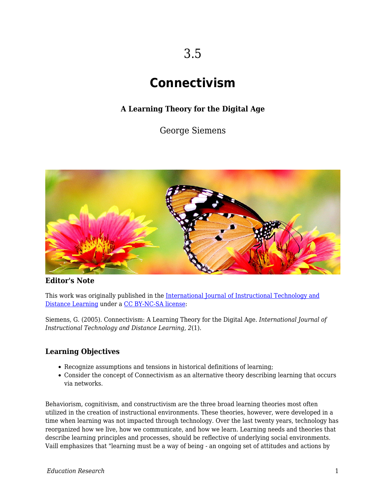# 3.5

## **Connectivism**

#### **A Learning Theory for the Digital Age**

George Siemens



**Editor's Note**

This work was originally published in the [International Journal of Instructional Technology and](http://www.itdl.org/journal/jan_05/article01.htm) [Distance Learning](http://www.itdl.org/journal/jan_05/article01.htm) under a [CC BY-NC-SA license](http://creativecommons.org/licenses/by-nc-sa/1.0):

Siemens, G. (2005). Connectivism: A Learning Theory for the Digital Age. *International Journal of Instructional Technology and Distance Learning, 2*(1).

#### **Learning Objectives**

- Recognize assumptions and tensions in historical definitions of learning;
- Consider the concept of Connectivism as an alternative theory describing learning that occurs via networks.

Behaviorism, cognitivism, and constructivism are the three broad learning theories most often utilized in the creation of instructional environments. These theories, however, were developed in a time when learning was not impacted through technology. Over the last twenty years, technology has reorganized how we live, how we communicate, and how we learn. Learning needs and theories that describe learning principles and processes, should be reflective of underlying social environments. Vaill emphasizes that "learning must be a way of being - an ongoing set of attitudes and actions by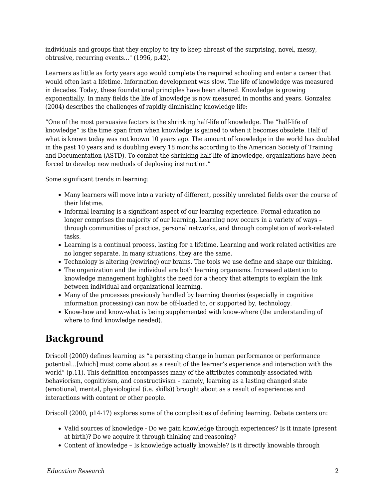individuals and groups that they employ to try to keep abreast of the surprising, novel, messy, obtrusive, recurring events..." (1996, p.42).

Learners as little as forty years ago would complete the required schooling and enter a career that would often last a lifetime. Information development was slow. The life of knowledge was measured in decades. Today, these foundational principles have been altered. Knowledge is growing exponentially. In many fields the life of knowledge is now measured in months and years. Gonzalez (2004) describes the challenges of rapidly diminishing knowledge life:

"One of the most persuasive factors is the shrinking half-life of knowledge. The "half-life of knowledge" is the time span from when knowledge is gained to when it becomes obsolete. Half of what is known today was not known 10 years ago. The amount of knowledge in the world has doubled in the past 10 years and is doubling every 18 months according to the American Society of Training and Documentation (ASTD). To combat the shrinking half-life of knowledge, organizations have been forced to develop new methods of deploying instruction."

Some significant trends in learning:

- Many learners will move into a variety of different, possibly unrelated fields over the course of their lifetime.
- Informal learning is a significant aspect of our learning experience. Formal education no longer comprises the majority of our learning. Learning now occurs in a variety of ways – through communities of practice, personal networks, and through completion of work-related tasks.
- Learning is a continual process, lasting for a lifetime. Learning and work related activities are no longer separate. In many situations, they are the same.
- Technology is altering (rewiring) our brains. The tools we use define and shape our thinking.
- The organization and the individual are both learning organisms. Increased attention to knowledge management highlights the need for a theory that attempts to explain the link between individual and organizational learning.
- Many of the processes previously handled by learning theories (especially in cognitive information processing) can now be off-loaded to, or supported by, technology.
- Know-how and know-what is being supplemented with know-where (the understanding of where to find knowledge needed).

#### **Background**

Driscoll (2000) defines learning as "a persisting change in human performance or performance potential…[which] must come about as a result of the learner's experience and interaction with the world" (p.11). This definition encompasses many of the attributes commonly associated with behaviorism, cognitivism, and constructivism – namely, learning as a lasting changed state (emotional, mental, physiological (i.e. skills)) brought about as a result of experiences and interactions with content or other people.

Driscoll (2000, p14-17) explores some of the complexities of defining learning. Debate centers on:

- Valid sources of knowledge Do we gain knowledge through experiences? Is it innate (present at birth)? Do we acquire it through thinking and reasoning?
- Content of knowledge Is knowledge actually knowable? Is it directly knowable through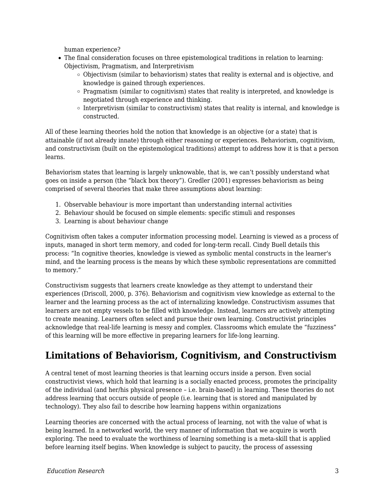human experience?

- The final consideration focuses on three epistemological traditions in relation to learning: Objectivism, Pragmatism, and Interpretivism
	- Objectivism (similar to behaviorism) states that reality is external and is objective, and knowledge is gained through experiences.
	- o Pragmatism (similar to cognitivism) states that reality is interpreted, and knowledge is negotiated through experience and thinking.
	- o Interpretivism (similar to constructivism) states that reality is internal, and knowledge is constructed.

All of these learning theories hold the notion that knowledge is an objective (or a state) that is attainable (if not already innate) through either reasoning or experiences. Behaviorism, cognitivism, and constructivism (built on the epistemological traditions) attempt to address how it is that a person learns.

Behaviorism states that learning is largely unknowable, that is, we can't possibly understand what goes on inside a person (the "black box theory"). Gredler (2001) expresses behaviorism as being comprised of several theories that make three assumptions about learning:

- 1. Observable behaviour is more important than understanding internal activities
- 2. Behaviour should be focused on simple elements: specific stimuli and responses
- 3. Learning is about behaviour change

Cognitivism often takes a computer information processing model. Learning is viewed as a process of inputs, managed in short term memory, and coded for long-term recall. Cindy Buell details this process: "In cognitive theories, knowledge is viewed as symbolic mental constructs in the learner's mind, and the learning process is the means by which these symbolic representations are committed to memory."

Constructivism suggests that learners create knowledge as they attempt to understand their experiences (Driscoll, 2000, p. 376). Behaviorism and cognitivism view knowledge as external to the learner and the learning process as the act of internalizing knowledge. Constructivism assumes that learners are not empty vessels to be filled with knowledge. Instead, learners are actively attempting to create meaning. Learners often select and pursue their own learning. Constructivist principles acknowledge that real-life learning is messy and complex. Classrooms which emulate the "fuzziness" of this learning will be more effective in preparing learners for life-long learning.

#### **Limitations of Behaviorism, Cognitivism, and Constructivism**

A central tenet of most learning theories is that learning occurs inside a person. Even social constructivist views, which hold that learning is a socially enacted process, promotes the principality of the individual (and her/his physical presence – i.e. brain-based) in learning. These theories do not address learning that occurs outside of people (i.e. learning that is stored and manipulated by technology). They also fail to describe how learning happens within organizations

Learning theories are concerned with the actual process of learning, not with the value of what is being learned. In a networked world, the very manner of information that we acquire is worth exploring. The need to evaluate the worthiness of learning something is a meta-skill that is applied before learning itself begins. When knowledge is subject to paucity, the process of assessing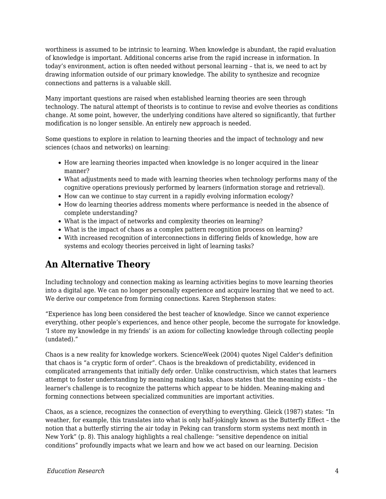worthiness is assumed to be intrinsic to learning. When knowledge is abundant, the rapid evaluation of knowledge is important. Additional concerns arise from the rapid increase in information. In today's environment, action is often needed without personal learning – that is, we need to act by drawing information outside of our primary knowledge. The ability to synthesize and recognize connections and patterns is a valuable skill.

Many important questions are raised when established learning theories are seen through technology. The natural attempt of theorists is to continue to revise and evolve theories as conditions change. At some point, however, the underlying conditions have altered so significantly, that further modification is no longer sensible. An entirely new approach is needed.

Some questions to explore in relation to learning theories and the impact of technology and new sciences (chaos and networks) on learning:

- How are learning theories impacted when knowledge is no longer acquired in the linear manner?
- What adjustments need to made with learning theories when technology performs many of the cognitive operations previously performed by learners (information storage and retrieval).
- How can we continue to stay current in a rapidly evolving information ecology?
- How do learning theories address moments where performance is needed in the absence of complete understanding?
- What is the impact of networks and complexity theories on learning?
- What is the impact of chaos as a complex pattern recognition process on learning?
- With increased recognition of interconnections in differing fields of knowledge, how are systems and ecology theories perceived in light of learning tasks?

## **An Alternative Theory**

Including technology and connection making as learning activities begins to move learning theories into a digital age. We can no longer personally experience and acquire learning that we need to act. We derive our competence from forming connections. Karen Stephenson states:

"Experience has long been considered the best teacher of knowledge. Since we cannot experience everything, other people's experiences, and hence other people, become the surrogate for knowledge. 'I store my knowledge in my friends' is an axiom for collecting knowledge through collecting people (undated)."

Chaos is a new reality for knowledge workers. ScienceWeek (2004) quotes Nigel Calder's definition that chaos is "a cryptic form of order". Chaos is the breakdown of predictability, evidenced in complicated arrangements that initially defy order. Unlike constructivism, which states that learners attempt to foster understanding by meaning making tasks, chaos states that the meaning exists – the learner's challenge is to recognize the patterns which appear to be hidden. Meaning-making and forming connections between specialized communities are important activities.

Chaos, as a science, recognizes the connection of everything to everything. Gleick (1987) states: "In weather, for example, this translates into what is only half-jokingly known as the Butterfly Effect – the notion that a butterfly stirring the air today in Peking can transform storm systems next month in New York" (p. 8). This analogy highlights a real challenge: "sensitive dependence on initial conditions" profoundly impacts what we learn and how we act based on our learning. Decision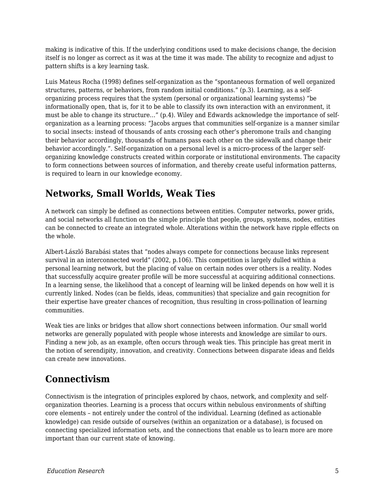making is indicative of this. If the underlying conditions used to make decisions change, the decision itself is no longer as correct as it was at the time it was made. The ability to recognize and adjust to pattern shifts is a key learning task.

Luis Mateus Rocha (1998) defines self-organization as the "spontaneous formation of well organized structures, patterns, or behaviors, from random initial conditions." (p.3). Learning, as a selforganizing process requires that the system (personal or organizational learning systems) "be informationally open, that is, for it to be able to classify its own interaction with an environment, it must be able to change its structure…" (p.4). Wiley and Edwards acknowledge the importance of selforganization as a learning process: "Jacobs argues that communities self-organize is a manner similar to social insects: instead of thousands of ants crossing each other's pheromone trails and changing their behavior accordingly, thousands of humans pass each other on the sidewalk and change their behavior accordingly.". Self-organization on a personal level is a micro-process of the larger selforganizing knowledge constructs created within corporate or institutional environments. The capacity to form connections between sources of information, and thereby create useful information patterns, is required to learn in our knowledge economy.

### **Networks, Small Worlds, Weak Ties**

A network can simply be defined as connections between entities. Computer networks, power grids, and social networks all function on the simple principle that people, groups, systems, nodes, entities can be connected to create an integrated whole. Alterations within the network have ripple effects on the whole.

Albert-László Barabási states that "nodes always compete for connections because links represent survival in an interconnected world" (2002, p.106). This competition is largely dulled within a personal learning network, but the placing of value on certain nodes over others is a reality. Nodes that successfully acquire greater profile will be more successful at acquiring additional connections. In a learning sense, the likelihood that a concept of learning will be linked depends on how well it is currently linked. Nodes (can be fields, ideas, communities) that specialize and gain recognition for their expertise have greater chances of recognition, thus resulting in cross-pollination of learning communities.

Weak ties are links or bridges that allow short connections between information. Our small world networks are generally populated with people whose interests and knowledge are similar to ours. Finding a new job, as an example, often occurs through weak ties. This principle has great merit in the notion of serendipity, innovation, and creativity. Connections between disparate ideas and fields can create new innovations.

#### **Connectivism**

Connectivism is the integration of principles explored by chaos, network, and complexity and selforganization theories. Learning is a process that occurs within nebulous environments of shifting core elements – not entirely under the control of the individual. Learning (defined as actionable knowledge) can reside outside of ourselves (within an organization or a database), is focused on connecting specialized information sets, and the connections that enable us to learn more are more important than our current state of knowing.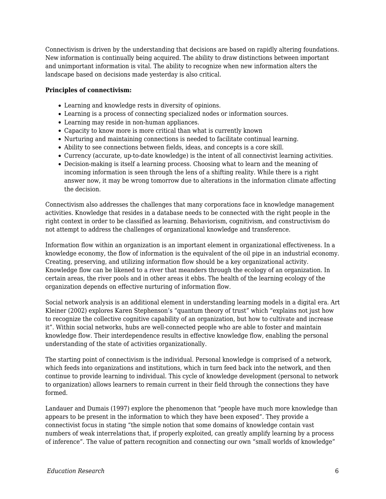Connectivism is driven by the understanding that decisions are based on rapidly altering foundations. New information is continually being acquired. The ability to draw distinctions between important and unimportant information is vital. The ability to recognize when new information alters the landscape based on decisions made yesterday is also critical.

#### **Principles of connectivism:**

- Learning and knowledge rests in diversity of opinions.
- Learning is a process of connecting specialized nodes or information sources.
- Learning may reside in non-human appliances.
- Capacity to know more is more critical than what is currently known
- Nurturing and maintaining connections is needed to facilitate continual learning.
- Ability to see connections between fields, ideas, and concepts is a core skill.
- Currency (accurate, up-to-date knowledge) is the intent of all connectivist learning activities.
- Decision-making is itself a learning process. Choosing what to learn and the meaning of incoming information is seen through the lens of a shifting reality. While there is a right answer now, it may be wrong tomorrow due to alterations in the information climate affecting the decision.

Connectivism also addresses the challenges that many corporations face in knowledge management activities. Knowledge that resides in a database needs to be connected with the right people in the right context in order to be classified as learning. Behaviorism, cognitivism, and constructivism do not attempt to address the challenges of organizational knowledge and transference.

Information flow within an organization is an important element in organizational effectiveness. In a knowledge economy, the flow of information is the equivalent of the oil pipe in an industrial economy. Creating, preserving, and utilizing information flow should be a key organizational activity. Knowledge flow can be likened to a river that meanders through the ecology of an organization. In certain areas, the river pools and in other areas it ebbs. The health of the learning ecology of the organization depends on effective nurturing of information flow.

Social network analysis is an additional element in understanding learning models in a digital era. Art Kleiner (2002) explores Karen Stephenson's "quantum theory of trust" which "explains not just how to recognize the collective cognitive capability of an organization, but how to cultivate and increase it". Within social networks, hubs are well-connected people who are able to foster and maintain knowledge flow. Their interdependence results in effective knowledge flow, enabling the personal understanding of the state of activities organizationally.

The starting point of connectivism is the individual. Personal knowledge is comprised of a network, which feeds into organizations and institutions, which in turn feed back into the network, and then continue to provide learning to individual. This cycle of knowledge development (personal to network to organization) allows learners to remain current in their field through the connections they have formed.

Landauer and Dumais (1997) explore the phenomenon that "people have much more knowledge than appears to be present in the information to which they have been exposed". They provide a connectivist focus in stating "the simple notion that some domains of knowledge contain vast numbers of weak interrelations that, if properly exploited, can greatly amplify learning by a process of inference". The value of pattern recognition and connecting our own "small worlds of knowledge"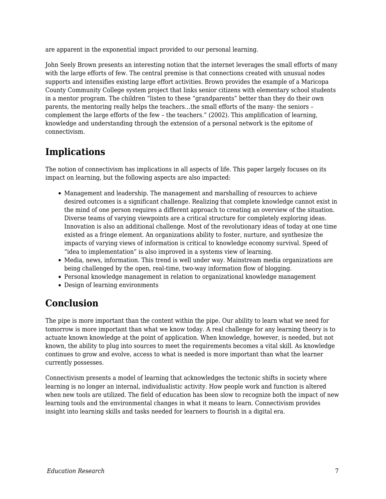are apparent in the exponential impact provided to our personal learning.

John Seely Brown presents an interesting notion that the internet leverages the small efforts of many with the large efforts of few. The central premise is that connections created with unusual nodes supports and intensifies existing large effort activities. Brown provides the example of a Maricopa County Community College system project that links senior citizens with elementary school students in a mentor program. The children "listen to these "grandparents" better than they do their own parents, the mentoring really helps the teachers…the small efforts of the many- the seniors – complement the large efforts of the few – the teachers." (2002). This amplification of learning, knowledge and understanding through the extension of a personal network is the epitome of connectivism.

### **Implications**

The notion of connectivism has implications in all aspects of life. This paper largely focuses on its impact on learning, but the following aspects are also impacted:

- Management and leadership. The management and marshalling of resources to achieve desired outcomes is a significant challenge. Realizing that complete knowledge cannot exist in the mind of one person requires a different approach to creating an overview of the situation. Diverse teams of varying viewpoints are a critical structure for completely exploring ideas. Innovation is also an additional challenge. Most of the revolutionary ideas of today at one time existed as a fringe element. An organizations ability to foster, nurture, and synthesize the impacts of varying views of information is critical to knowledge economy survival. Speed of "idea to implementation" is also improved in a systems view of learning.
- Media, news, information. This trend is well under way. Mainstream media organizations are being challenged by the open, real-time, two-way information flow of blogging.
- Personal knowledge management in relation to organizational knowledge management
- Design of learning environments

#### **Conclusion**

The pipe is more important than the content within the pipe. Our ability to learn what we need for tomorrow is more important than what we know today. A real challenge for any learning theory is to actuate known knowledge at the point of application. When knowledge, however, is needed, but not known, the ability to plug into sources to meet the requirements becomes a vital skill. As knowledge continues to grow and evolve, access to what is needed is more important than what the learner currently possesses.

Connectivism presents a model of learning that acknowledges the tectonic shifts in society where learning is no longer an internal, individualistic activity. How people work and function is altered when new tools are utilized. The field of education has been slow to recognize both the impact of new learning tools and the environmental changes in what it means to learn. Connectivism provides insight into learning skills and tasks needed for learners to flourish in a digital era.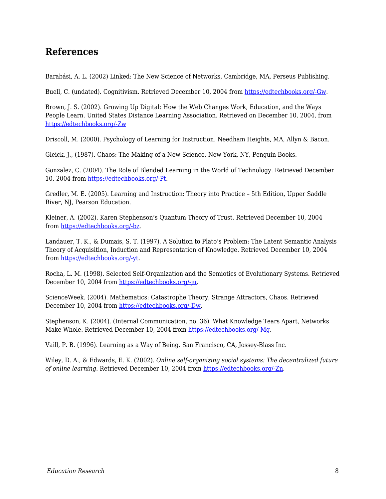#### **References**

Barabási, A. L. (2002) Linked: The New Science of Networks, Cambridge, MA, Perseus Publishing.

Buell, C. (undated). Cognitivism. Retrieved December 10, 2004 from [https://edtechbooks.org/-Gw.](http://web.cocc.edu/cbuell/theories/cognitivism.htm)

Brown, J. S. (2002). Growing Up Digital: How the Web Changes Work, Education, and the Ways People Learn. United States Distance Learning Association. Retrieved on December 10, 2004, from [https://edtechbooks.org/-Zw](http://www.usdla.org/html/journal/FEB02_Issue/article01.html)

Driscoll, M. (2000). Psychology of Learning for Instruction. Needham Heights, MA, Allyn & Bacon.

Gleick, J., (1987). Chaos: The Making of a New Science. New York, NY, Penguin Books.

Gonzalez, C. (2004). The Role of Blended Learning in the World of Technology. Retrieved December 10, 2004 from [https://edtechbooks.org/-Pt](http://www.unt.edu/benchmarks/archives/2004/september04/eis.htm).

Gredler, M. E. (2005). Learning and Instruction: Theory into Practice – 5th Edition, Upper Saddle River, NJ, Pearson Education.

Kleiner, A. (2002). Karen Stephenson's Quantum Theory of Trust. Retrieved December 10, 2004 from [https://edtechbooks.org/-bz](http://www.netform.com/html/s+b%20article.pdf).

Landauer, T. K., & Dumais, S. T. (1997). A Solution to Plato's Problem: The Latent Semantic Analysis Theory of Acquisition, Induction and Representation of Knowledge. Retrieved December 10, 2004 from [https://edtechbooks.org/-yt.](http://lsa.colorado.edu/papers/plato/plato.annote.html)

Rocha, L. M. (1998). Selected Self-Organization and the Semiotics of Evolutionary Systems. Retrieved December 10, 2004 from [https://edtechbooks.org/-ju.](http://informatics.indiana.edu/rocha/ises.html)

ScienceWeek. (2004). Mathematics: Catastrophe Theory, Strange Attractors, Chaos. Retrieved December 10, 2004 from [https://edtechbooks.org/-Dw](http://scienceweek.com/2003/sc031226-2.htm).

Stephenson, K. (2004). (Internal Communication, no. 36). What Knowledge Tears Apart, Networks Make Whole. Retrieved December 10, 2004 from [https://edtechbooks.org/-Mg](http://www.netform.com/html/icf.pdf).

Vaill, P. B. (1996). Learning as a Way of Being. San Francisco, CA, Jossey-Blass Inc.

Wiley, D. A., & Edwards, E. K. (2002). *Online self-organizing social systems: The decentralized future of online learning.* Retrieved December 10, 2004 from [https://edtechbooks.org/-Zn](http://wiley.ed.usu.edu/docs/ososs.pdf).